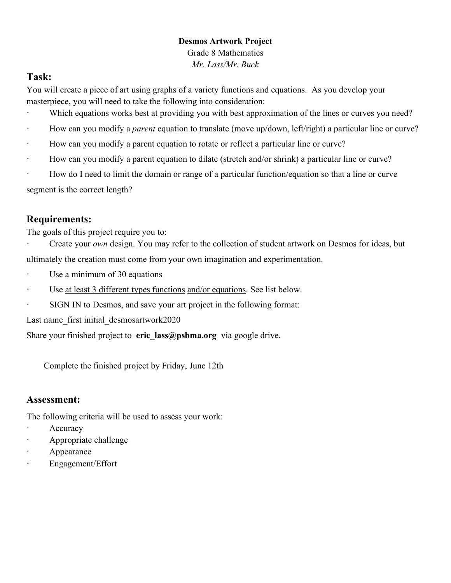#### **Desmos Artwork Project**

Grade 8 Mathematics *Mr. Lass/Mr. Buck*

#### **Task:**

You will create a piece of art using graphs of a variety functions and equations. As you develop your masterpiece, you will need to take the following into consideration:

- · Which equations works best at providing you with best approximation of the lines or curves you need?
- · How can you modify a *parent* equation to translate (move up/down, left/right) a particular line or curve?
- · How can you modify a parent equation to rotate or reflect a particular line or curve?
- · How can you modify a parent equation to dilate (stretch and/or shrink) a particular line or curve?
- · How do I need to limit the domain or range of a particular function/equation so that a line or curve

segment is the correct length?

# **Requirements:**

The goals of this project require you to:

- Create your *own* design. You may refer to the collection of student artwork on Desmos for ideas, but ultimately the creation must come from your own imagination and experimentation.
- · Use a minimum of 30 equations
- · Use at least 3 different types functions and/or equations. See list below.
- SIGN IN to Desmos, and save your art project in the following format:

Last name\_first initial\_desmosartwork2020

Share your finished project to **eric** lass@psbma.org via google drive.

Complete the finished project by Friday, June 12th

# **Assessment:**

The following criteria will be used to assess your work:

- **Accuracy**
- · Appropriate challenge
- **Appearance**
- · Engagement/Effort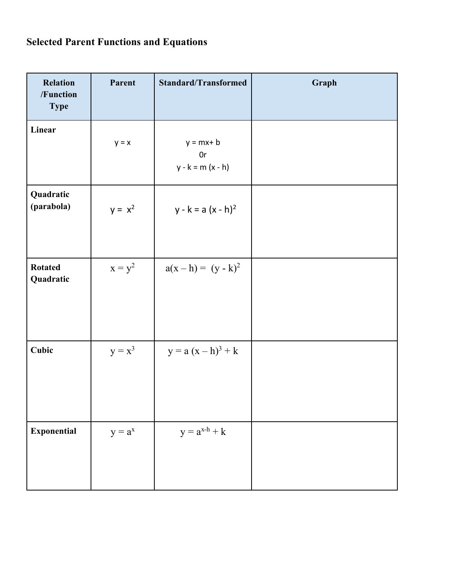# **Selected Parent Functions and Equations**

| <b>Relation</b><br>/Function<br><b>Type</b> | Parent    | <b>Standard/Transformed</b>               | Graph |
|---------------------------------------------|-----------|-------------------------------------------|-------|
| Linear                                      | $y = x$   | $y = mx + b$<br>0r<br>$y - k = m (x - h)$ |       |
| Quadratic<br>(parabola)                     | $y = x^2$ | $y - k = a (x - h)^2$                     |       |
| <b>Rotated</b><br>Quadratic                 | $x = y^2$ | $a(x - h) = (y - k)^2$                    |       |
| Cubic                                       | $y = x^3$ | $y = a (x - h)3 + k$                      |       |
| <b>Exponential</b>                          | $y = a^x$ | $y = a^{x-h} + k$                         |       |